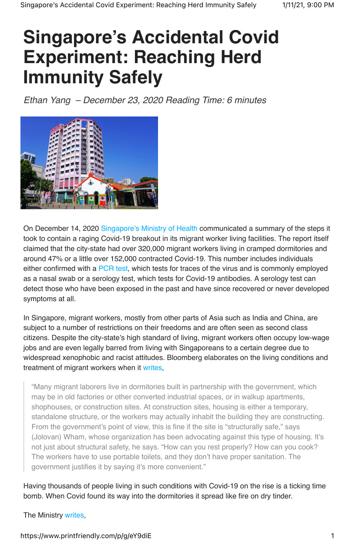# **Singapore's Accidental Covid Experiment: Reaching Herd Immunity Safely**

*Ethan Yang – December 23, 2020 Reading Time: 6 minutes*



On December 14, 2020 Singapore's Ministry of Health communicated a summary of the steps it took to contain a raging Covid-19 breakout in its migrant worker living facilities. The report itself claimed that the city-state had over 320,000 migrant workers living in cramped dormitories and around 47% or a little over 152,000 contracted Covid-19. This number includes individuals either confirmed with a PCR test, which tests for traces of the virus and is commonly employed as a nasal swab or a serology test, which tests for Covid-19 antibodies. A serology test can detect those who have been exposed in the past and have since recovered or never developed symptoms at all.

In Singapore, migrant workers, mostly from other parts of Asia such as India and China, are subject to a number of restrictions on their freedoms and are often seen as second class citizens. Despite the city-state's high standard of living, migrant workers often occupy low-wage jobs and are even legally barred from living with Singaporeans to a certain degree due to widespread xenophobic and racist attitudes. Bloomberg elaborates on the living conditions and treatment of migrant workers when it writes,

"Many migrant laborers live in dormitories built in partnership with the government, which may be in old factories or other converted industrial spaces, or in walkup apartments, shophouses, or construction sites. At construction sites, housing is either a temporary, standalone structure, or the workers may actually inhabit the building they are constructing. From the government's point of view, this is fine if the site is "structurally safe," says (Jolovan) Wham, whose organization has been advocating against this type of housing. It's not just about structural safety, he says. "How can you rest properly? How can you cook? The workers have to use portable toilets, and they don't have proper sanitation. The government justifies it by saying it's more convenient."

Having thousands of people living in such conditions with Covid-19 on the rise is a ticking time bomb. When Covid found its way into the dormitories it spread like fire on dry tinder.

The Ministry writes,

## https://www.printfriendly.com/p/g/eY9diE 1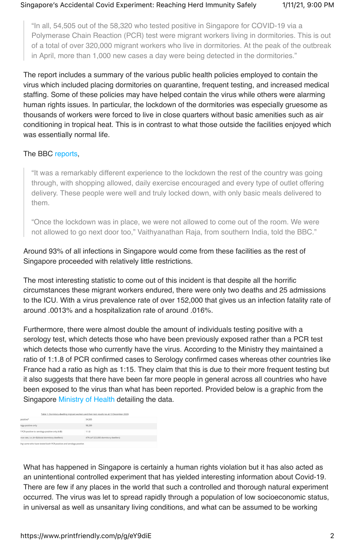"In all, 54,505 out of the 58,320 who tested positive in Singapore for COVID-19 via a Polymerase Chain Reaction (PCR) test were migrant workers living in dormitories. This is out of a total of over 320,000 migrant workers who live in dormitories. At the peak of the outbreak in April, more than 1,000 new cases a day were being detected in the dormitories."

The report includes a summary of the various public health policies employed to contain the virus which included placing dormitories on quarantine, frequent testing, and increased medical staffing. Some of these policies may have helped contain the virus while others were alarming human rights issues. In particular, the lockdown of the dormitories was especially gruesome as thousands of workers were forced to live in close quarters without basic amenities such as air conditioning in tropical heat. This is in contrast to what those outside the facilities enjoyed which was essentially normal life.

#### The BBC reports,

"It was a remarkably different experience to the lockdown the rest of the country was going through, with shopping allowed, daily exercise encouraged and every type of outlet offering delivery. These people were well and truly locked down, with only basic meals delivered to them.

"Once the lockdown was in place, we were not allowed to come out of the room. We were not allowed to go next door too," Vaithyanathan Raja, from southern India, told the BBC."

Around 93% of all infections in Singapore would come from these facilities as the rest of Singapore proceeded with relatively little restrictions.

The most interesting statistic to come out of this incident is that despite all the horrific circumstances these migrant workers endured, there were only two deaths and 25 admissions to the ICU. With a virus prevalence rate of over 152,000 that gives us an infection fatality rate of around .0013% and a hospitalization rate of around .016%.

Furthermore, there were almost double the amount of individuals testing positive with a serology test, which detects those who have been previously exposed rather than a PCR test which detects those who currently have the virus. According to the Ministry they maintained a ratio of 1:1.8 of PCR confirmed cases to Serology confirmed cases whereas other countries like France had a ratio as high as 1:15. They claim that this is due to their more frequent testing but it also suggests that there have been far more people in general across all countries who have been exposed to the virus than what has been reported. Provided below is a graphic from the Singapore Ministry of Health detailing the data.

| Table 1: Dormitory-dwelling migrant workers and their test results (as at 13 December 2020) |                                     |
|---------------------------------------------------------------------------------------------|-------------------------------------|
| positive*                                                                                   | 54.505                              |
| logy-positive only                                                                          | 98,289                              |
| f PCR-positive to serology-positive only (A:B)                                              | 1:1.8                               |
| nce rate, i.e. (A+B)/(total dormitory dwellers)                                             | 47% (of 323,000 dormitory dwellers) |
| ling some who have tested both PCR-positive and serology-positive.                          |                                     |

What has happened in Singapore is certainly a human rights violation but it has also acted as an unintentional controlled experiment that has yielded interesting information about Covid-19. There are few if any places in the world that such a controlled and thorough natural experiment occurred. The virus was let to spread rapidly through a population of low socioeconomic status, in universal as well as unsanitary living conditions, and what can be assumed to be working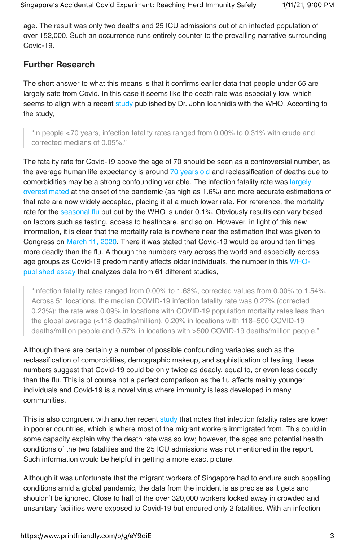age. The result was only two deaths and 25 ICU admissions out of an infected population of over 152,000. Such an occurrence runs entirely counter to the prevailing narrative surrounding Covid-19.

## **Further Research**

The short answer to what this means is that it confirms earlier data that people under 65 are largely safe from Covid. In this case it seems like the death rate was especially low, which seems to align with a recent study published by Dr. John Ioannidis with the WHO. According to the study,

"In people <70 years, infection fatality rates ranged from 0.00% to 0.31% with crude and corrected medians of 0.05%."

The fatality rate for Covid-19 above the age of 70 should be seen as a controversial number, as the average human life expectancy is around 70 years old and reclassification of deaths due to comorbidities may be a strong confounding variable. The infection fatality rate was largely overestimated at the onset of the pandemic (as high as 1.6%) and more accurate estimations of that rate are now widely accepted, placing it at a much lower rate. For reference, the mortality rate for the seasonal flu put out by the WHO is under 0.1%. Obviously results can vary based on factors such as testing, access to healthcare, and so on. However, in light of this new information, it is clear that the mortality rate is nowhere near the estimation that was given to Congress on March 11, 2020. There it was stated that Covid-19 would be around ten times more deadly than the flu. Although the numbers vary across the world and especially across age groups as Covid-19 predominantly affects older individuals, the number in this WHOpublished essay that analyzes data from 61 different studies,

"Infection fatality rates ranged from 0.00% to 1.63%, corrected values from 0.00% to 1.54%. Across 51 locations, the median COVID-19 infection fatality rate was 0.27% (corrected 0.23%): the rate was 0.09% in locations with COVID-19 population mortality rates less than the global average (<118 deaths/million), 0.20% in locations with 118–500 COVID-19 deaths/million people and 0.57% in locations with >500 COVID-19 deaths/million people."

Although there are certainly a number of possible confounding variables such as the reclassification of comorbidities, demographic makeup, and sophistication of testing, these numbers suggest that Covid-19 could be only twice as deadly, equal to, or even less deadly than the flu. This is of course not a perfect comparison as the flu affects mainly younger individuals and Covid-19 is a novel virus where immunity is less developed in many communities.

This is also congruent with another recent study that notes that infection fatality rates are lower in poorer countries, which is where most of the migrant workers immigrated from. This could in some capacity explain why the death rate was so low; however, the ages and potential health conditions of the two fatalities and the 25 ICU admissions was not mentioned in the report. Such information would be helpful in getting a more exact picture.

Although it was unfortunate that the migrant workers of Singapore had to endure such appalling conditions amid a global pandemic, the data from the incident is as precise as it gets and shouldn't be ignored. Close to half of the over 320,000 workers locked away in crowded and unsanitary facilities were exposed to Covid-19 but endured only 2 fatalities. With an infection